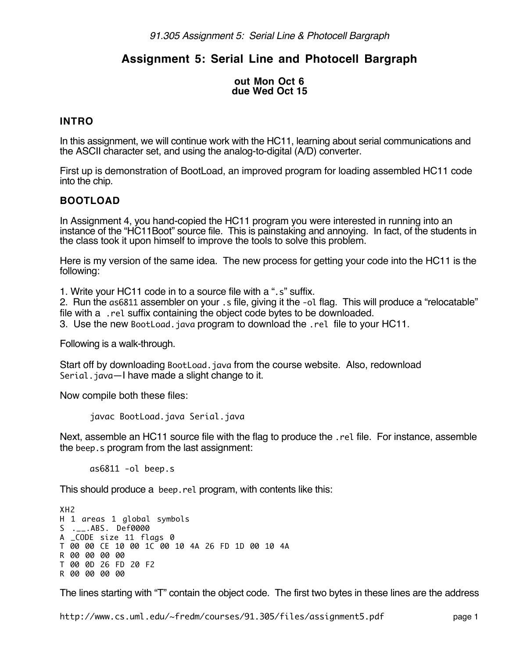# **Assignment 5: Serial Line and Photocell Bargraph**

#### **out Mon Oct 6 due Wed Oct 15**

## **INTRO**

In this assignment, we will continue work with the HC11, learning about serial communications and the ASCII character set, and using the analog-to-digital (A/D) converter.

First up is demonstration of BootLoad, an improved program for loading assembled HC11 code into the chip.

# **BOOTLOAD**

In Assignment 4, you hand-copied the HC11 program you were interested in running into an instance of the "HC11Boot" source file. This is painstaking and annoying. In fact, of the students in the class took it upon himself to improve the tools to solve this problem.

Here is my version of the same idea. The new process for getting your code into the HC11 is the following:

1. Write your HC11 code in to a source file with a ".s" suffix.

2. Run the as6811 assembler on your .s file, giving it the -ol flag. This will produce a "relocatable" file with a .rel suffix containing the object code bytes to be downloaded.

3. Use the new BootLoad.java program to download the .rel file to your HC11.

Following is a walk-through.

Start off by downloading BootLoad.java from the course website. Also, redownload Serial.java—I have made a slight change to it.

Now compile both these files:

javac BootLoad.java Serial.java

Next, assemble an HC11 source file with the flag to produce the .rel file. For instance, assemble the beep.s program from the last assignment:

as6811 -ol beep.s

This should produce a beep.rel program, with contents like this:

XH2 H 1 areas 1 global symbols S .\_\_.ABS. Def0000 A \_CODE size 11 flags 0 T 00 00 CE 10 00 1C 00 10 4A 26 FD 1D 00 10 4A R 00 00 00 00 T 00 0D 26 FD 20 F2 R 00 00 00 00

The lines starting with "T" contain the object code. The first two bytes in these lines are the address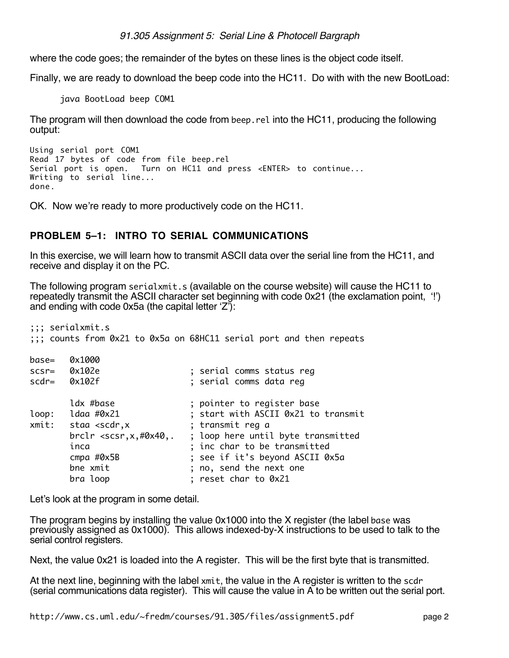where the code goes; the remainder of the bytes on these lines is the object code itself.

Finally, we are ready to download the beep code into the HC11. Do with with the new BootLoad:

java BootLoad beep COM1

The program will then download the code from beep.rel into the HC11, producing the following output:

```
Using serial port COM1
Read 17 bytes of code from file beep.rel
Serial port is open. Turn on HC11 and press <ENTER> to continue...
Writing to serial line...
done.
```
OK. Now we're ready to more productively code on the HC11.

# **PROBLEM 5–1: INTRO TO SERIAL COMMUNICATIONS**

In this exercise, we will learn how to transmit ASCII data over the serial line from the HC11, and receive and display it on the PC.

The following program serialxmit.s (available on the course website) will cause the HC11 to repeatedly transmit the ASCII character set beginning with code 0x21 (the exclamation point, '!') and ending with code 0x5a (the capital letter 'Z'):

```
;;; serialxmit.s
;;; counts from 0x21 to 0x5a on 68HC11 serial port and then repeats
base= 0x1000
scsr= 0x102e ; serial comms status reg
scdr= 0x102f ; serial comms data reg
      ldx #base \qquad \qquad ; pointer to register base
loop: ldaa #0x21 ; start with ASCII 0x21 to transmit
xmit: staa <scdr,x ; transmit reg a
       brclr <scsr,x,#0x40,. ; loop here until byte transmitted
      inca ; inc char to be transmitted
       cmpa #0x5B ; see if it's beyond ASCII 0x5a
      bne xmit \qquad \qquad ; no, send the next onebra loop \qquad \qquad ; reset char to 0x21
```
Let's look at the program in some detail.

The program begins by installing the value 0x1000 into the X register (the label base was previously assigned as 0x1000). This allows indexed-by-X instructions to be used to talk to the serial control registers.

Next, the value 0x21 is loaded into the A register. This will be the first byte that is transmitted.

At the next line, beginning with the label xmit, the value in the A register is written to the scdr (serial communications data register). This will cause the value in A to be written out the serial port.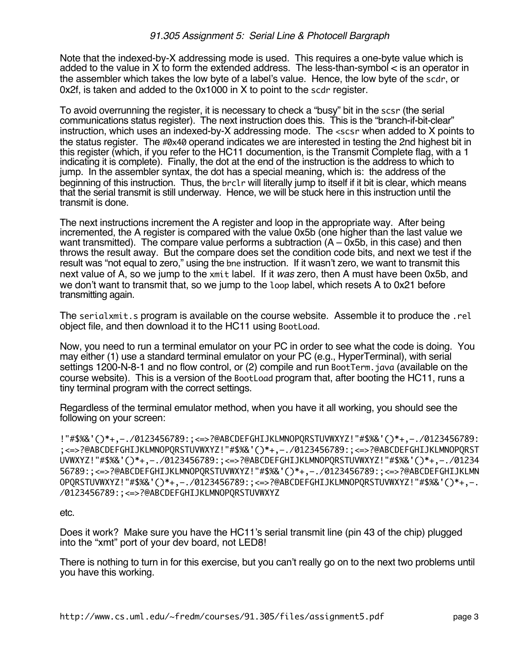Note that the indexed-by-X addressing mode is used. This requires a one-byte value which is added to the value in X to form the extended address. The less-than-symbol < is an operator in the assembler which takes the low byte of a label's value. Hence, the low byte of the scdr, or 0x2f, is taken and added to the 0x1000 in X to point to the scdr register.

To avoid overrunning the register, it is necessary to check a "busy" bit in the scsr (the serial communications status register). The next instruction does this. This is the "branch-if-bit-clear" instruction, which uses an indexed-by-X addressing mode. The <scsr when added to X points to the status register. The #0x40 operand indicates we are interested in testing the 2nd highest bit in this register (which, if you refer to the HC11 documention, is the Transmit Complete flag, with a 1 indicating it is complete). Finally, the dot at the end of the instruction is the address to which to jump. In the assembler syntax, the dot has a special meaning, which is: the address of the beginning of this instruction. Thus, the brclr will literally jump to itself if it bit is clear, which means that the serial transmit is still underway. Hence, we will be stuck here in this instruction until the transmit is done.

The next instructions increment the A register and loop in the appropriate way. After being incremented, the A register is compared with the value 0x5b (one higher than the last value we want transmitted). The compare value performs a subtraction  $(A - 0x5b)$ , in this case) and then throws the result away. But the compare does set the condition code bits, and next we test if the result was "not equal to zero," using the bne instruction. If it wasn't zero, we want to transmit this next value of A, so we jump to the xmit label. If it was zero, then A must have been 0x5b, and we don't want to transmit that, so we jump to the loop label, which resets A to 0x21 before transmitting again.

The serialxmit.s program is available on the course website. Assemble it to produce the .rel object file, and then download it to the HC11 using BootLoad.

Now, you need to run a terminal emulator on your PC in order to see what the code is doing. You may either (1) use a standard terminal emulator on your PC (e.g., HyperTerminal), with serial settings 1200-N-8-1 and no flow control, or (2) compile and run BootTerm. java (available on the course website). This is a version of the BootLoad program that, after booting the HC11, runs a tiny terminal program with the correct settings.

Regardless of the terminal emulator method, when you have it all working, you should see the following on your screen:

!"#\$%&'()\*+,–./0123456789:;<=>?@ABCDEFGHIJKLMNOPQRSTUVWXYZ!"#\$%&'()\*+,–./0123456789: ;<=>?@ABCDEFGHIJKLMNOPQRSTUVWXYZ!"#\$%&'()\*+,–./0123456789:;<=>?@ABCDEFGHIJKLMNOPQRST UVWXYZ!"#\$%&'()\*+,–./0123456789:;<=>?@ABCDEFGHIJKLMNOPQRSTUVWXYZ!"#\$%&'()\*+,–./01234 56789:;<=>?@ABCDEFGHIJKLMNOPQRSTUVWXYZ!"#\$%&'()\*+,–./0123456789:;<=>?@ABCDEFGHIJKLMN OPQRSTUVWXYZ!"#\$%&'()\*+,–./0123456789:;<=>?@ABCDEFGHIJKLMNOPQRSTUVWXYZ!"#\$%&'()\*+,–. /0123456789:;<=>?@ABCDEFGHIJKLMNOPQRSTUVWXYZ

etc.

Does it work? Make sure you have the HC11's serial transmit line (pin 43 of the chip) plugged into the "xmt" port of your dev board, not LED8!

There is nothing to turn in for this exercise, but you can't really go on to the next two problems until you have this working.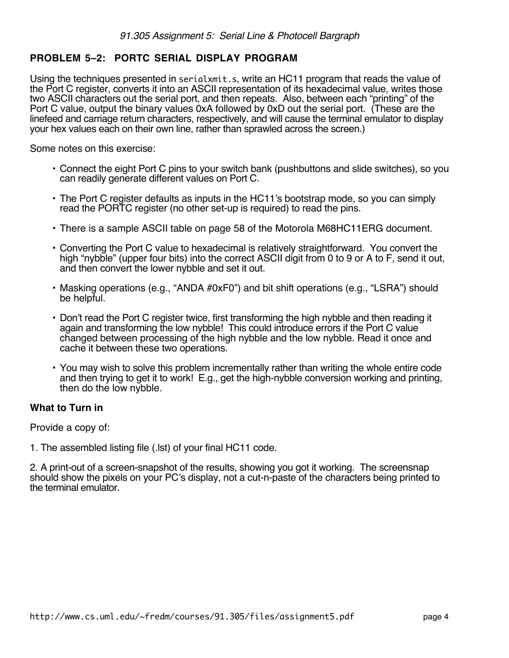# **PROBLEM 5–2: PORTC SERIAL DISPLAY PROGRAM**

Using the techniques presented in serialxmit.s, write an HC11 program that reads the value of the Port C register, converts it into an ASCII representation of its hexadecimal value, writes those two ASCII characters out the serial port, and then repeats. Also, between each "printing" of the Port C value, output the binary values 0xA followed by 0xD out the serial port. (These are the linefeed and carriage return characters, respectively, and will cause the terminal emulator to display your hex values each on their own line, rather than sprawled across the screen.)

Some notes on this exercise:

- Connect the eight Port C pins to your switch bank (pushbuttons and slide switches), so you can readily generate different values on Port C.
- The Port C register defaults as inputs in the HC11's bootstrap mode, so you can simply read the PORTC register (no other set-up is required) to read the pins.
- There is a sample ASCII table on page 58 of the Motorola M68HC11ERG document.
- Converting the Port C value to hexadecimal is relatively straightforward. You convert the high "nybble" (upper four bits) into the correct ASCII digit from 0 to 9 or A to F, send it out, and then convert the lower nybble and set it out.
- Masking operations (e.g., "ANDA #0xF0") and bit shift operations (e.g., "LSRA") should be helpful.
- Don't read the Port C register twice, first transforming the high nybble and then reading it again and transforming the low nybble! This could introduce errors if the Port C value changed between processing of the high nybble and the low nybble. Read it once and cache it between these two operations.
- You may wish to solve this problem incrementally rather than writing the whole entire code and then trying to get it to work! E.g., get the high-nybble conversion working and printing, then do the low nybble.

#### **What to Turn in**

Provide a copy of:

1. The assembled listing file (.lst) of your final HC11 code.

2. A print-out of a screen-snapshot of the results, showing you got it working. The screensnap should show the pixels on your PC's display, not a cut-n-paste of the characters being printed to the terminal emulator.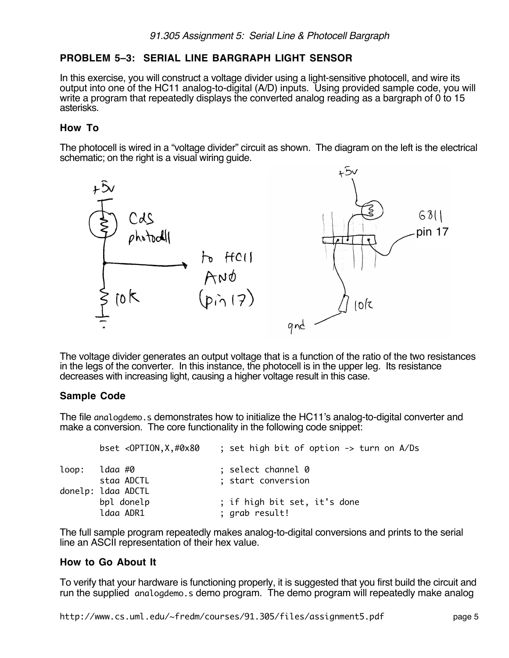# **PROBLEM 5–3: SERIAL LINE BARGRAPH LIGHT SENSOR**

In this exercise, you will construct a voltage divider using a light-sensitive photocell, and wire its output into one of the HC11 analog-to-digital (A/D) inputs. Using provided sample code, you will write a program that repeatedly displays the converted analog reading as a bargraph of 0 to 15 asterisks.

## **How To**

The photocell is wired in a "voltage divider" circuit as shown. The diagram on the left is the electrical schematic; on the right is a visual wiring guide.



The voltage divider generates an output voltage that is a function of the ratio of the two resistances in the legs of the converter. In this instance, the photocell is in the upper leg. Its resistance decreases with increasing light, causing a higher voltage result in this case.

#### **Sample Code**

The file analogdemo.s demonstrates how to initialize the HC11's analog-to-digital converter and make a conversion. The core functionality in the following code snippet:

|       | bset $\langle$ OPTION, X, #0x80 | ; set high bit of option -> turn on A/Ds |
|-------|---------------------------------|------------------------------------------|
| loop: | ldaa #0                         | ; select channel 0                       |
|       | staa ADCTL                      | ; start conversion                       |
|       | donelp: ldaa ADCTL              |                                          |
|       | bpl donelp                      | ; if high bit set, it's done             |
|       | ldaa ADR1                       | ; grab result!                           |

The full sample program repeatedly makes analog-to-digital conversions and prints to the serial line an ASCII representation of their hex value.

#### **How to Go About It**

To verify that your hardware is functioning properly, it is suggested that you first build the circuit and run the supplied analogdemo.s demo program. The demo program will repeatedly make analog